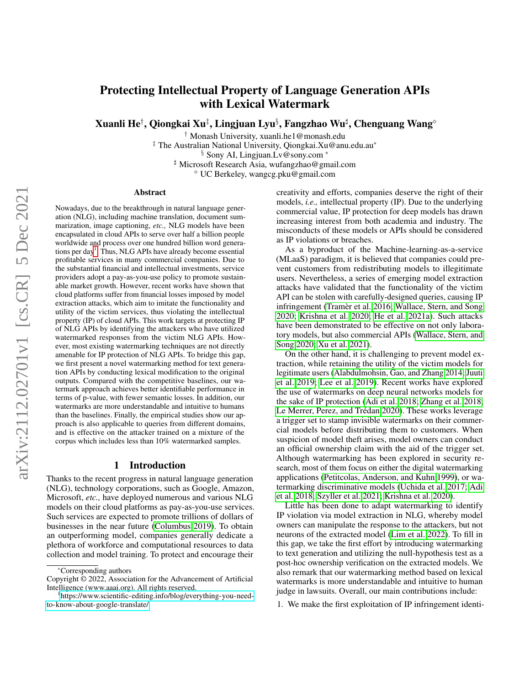# Protecting Intellectual Property of Language Generation APIs with Lexical Watermark

Xuanli He $^\dagger$ , Qiongkai Xu $^\ddagger$ , Lingjuan Lyu $^\S$ , Fangzhao Wu $^\sharp$ , Chenguang Wang $^\circ$ 

† Monash University, xuanli.he1@monash.edu ‡ The Australian National University, Qiongkai.Xu@anu.edu.au\* § Sony AI, Lingjuan.Lv@sony.com \* ] Microsoft Research Asia, wufangzhao@gmail.com UC Berkeley, wangcg.pku@gmail.com

#### Abstract

Nowadays, due to the breakthrough in natural language generation (NLG), including machine translation, document summarization, image captioning, *etc.,* NLG models have been encapsulated in cloud APIs to serve over half a billion people worldwide and process over one hundred billion word genera-tions per day<sup>[1](#page-0-0)</sup>. Thus, NLG APIs have already become essential profitable services in many commercial companies. Due to the substantial financial and intellectual investments, service providers adopt a pay-as-you-use policy to promote sustainable market growth. However, recent works have shown that cloud platforms suffer from financial losses imposed by model extraction attacks, which aim to imitate the functionality and utility of the victim services, thus violating the intellectual property (IP) of cloud APIs. This work targets at protecting IP of NLG APIs by identifying the attackers who have utilized watermarked responses from the victim NLG APIs. However, most existing watermarking techniques are not directly amenable for IP protection of NLG APIs. To bridge this gap, we first present a novel watermarking method for text generation APIs by conducting lexical modification to the original outputs. Compared with the competitive baselines, our watermark approach achieves better identifiable performance in terms of p-value, with fewer semantic losses. In addition, our watermarks are more understandable and intuitive to humans than the baselines. Finally, the empirical studies show our approach is also applicable to queries from different domains, and is effective on the attacker trained on a mixture of the corpus which includes less than 10% watermarked samples.

### 1 Introduction

Thanks to the recent progress in natural language generation (NLG), technology corporations, such as Google, Amazon, Microsoft, *etc.,* have deployed numerous and various NLG models on their cloud platforms as pay-as-you-use services. Such services are expected to promote trillions of dollars of businesses in the near future [\(Columbus 2019\)](#page-7-0). To obtain an outperforming model, companies generally dedicate a plethora of workforce and computational resources to data collection and model training. To protect and encourage their

creativity and efforts, companies deserve the right of their models, *i.e.,* intellectual property (IP). Due to the underlying commercial value, IP protection for deep models has drawn increasing interest from both academia and industry. The misconducts of these models or APIs should be considered as IP violations or breaches.

As a byproduct of the Machine-learning-as-a-service (MLaaS) paradigm, it is believed that companies could prevent customers from redistributing models to illegitimate users. Nevertheless, a series of emerging model extraction attacks have validated that the functionality of the victim API can be stolen with carefully-designed queries, causing IP infringement (Tramèr et al. 2016; [Wallace, Stern, and Song](#page-8-1) [2020;](#page-8-1) [Krishna et al. 2020;](#page-7-1) [He et al. 2021a\)](#page-7-2). Such attacks have been demonstrated to be effective on not only laboratory models, but also commercial APIs [\(Wallace, Stern, and](#page-8-1) [Song 2020;](#page-8-1) [Xu et al. 2021\)](#page-8-2).

On the other hand, it is challenging to prevent model extraction, while retaining the utility of the victim models for legitimate users [\(Alabdulmohsin, Gao, and Zhang 2014;](#page-7-3) [Juuti](#page-7-4) [et al. 2019;](#page-7-4) [Lee et al. 2019\)](#page-7-5). Recent works have explored the use of watermarks on deep neural networks models for the sake of IP protection [\(Adi et al. 2018;](#page-7-6) [Zhang et al. 2018;](#page-8-3) Le Merrer, Perez, and Trédan 2020). These works leverage a trigger set to stamp invisible watermarks on their commercial models before distributing them to customers. When suspicion of model theft arises, model owners can conduct an official ownership claim with the aid of the trigger set. Although watermarking has been explored in security research, most of them focus on either the digital watermarking applications [\(Petitcolas, Anderson, and Kuhn 1999\)](#page-8-4), or watermarking discriminative models [\(Uchida et al. 2017;](#page-8-5) [Adi](#page-7-6) [et al. 2018;](#page-7-6) [Szyller et al. 2021;](#page-8-6) [Krishna et al. 2020\)](#page-7-1).

Little has been done to adapt watermarking to identify IP violation via model extraction in NLG, whereby model owners can manipulate the response to the attackers, but not neurons of the extracted model [\(Lim et al. 2022\)](#page-8-7). To fill in this gap, we take the first effort by introducing watermarking to text generation and utilizing the null-hypothesis test as a post-hoc ownership verification on the extracted models. We also remark that our watermarking method based on lexical watermarks is more understandable and intuitive to human judge in lawsuits. Overall, our main contributions include:

1. We make the first exploitation of IP infringement identi-

Corresponding authors

Copyright © 2022, Association for the Advancement of Artificial Intelligence (www.aaai.org). All rights reserved.

<span id="page-0-0"></span><sup>1</sup> [https://www.scientific-editing.info/blog/everything-you-need](https://www.scientific-editing.info/blog/everything-you-need-to-know-about-google-translate/)[to-know-about-google-translate/](https://www.scientific-editing.info/blog/everything-you-need-to-know-about-google-translate/)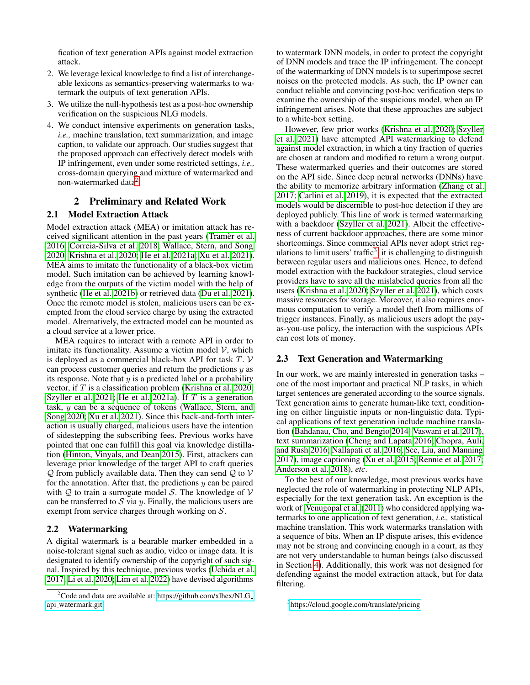fication of text generation APIs against model extraction attack.

- 2. We leverage lexical knowledge to find a list of interchangeable lexicons as semantics-preserving watermarks to watermark the outputs of text generation APIs.
- 3. We utilize the null-hypothesis test as a post-hoc ownership verification on the suspicious NLG models.
- 4. We conduct intensive experiments on generation tasks, *i.e.,* machine translation, text summarization, and image caption, to validate our approach. Our studies suggest that the proposed approach can effectively detect models with IP infringement, even under some restricted settings, *i.e.,* cross-domain querying and mixture of watermarked and non-watermarked data<sup>[2](#page-1-0)</sup>.

## 2 Preliminary and Related Work

## 2.1 Model Extraction Attack

Model extraction attack (MEA) or imitation attack has re-ceived significant attention in the past years [\(Tramer et al.](#page-8-0) [2016;](#page-8-0) [Correia-Silva et al. 2018;](#page-7-8) [Wallace, Stern, and Song](#page-8-1) [2020;](#page-8-1) [Krishna et al. 2020;](#page-7-1) [He et al. 2021a;](#page-7-2) [Xu et al. 2021\)](#page-8-2). MEA aims to imitate the functionality of a black-box victim model. Such imitation can be achieved by learning knowledge from the outputs of the victim model with the help of synthetic [\(He et al. 2021b\)](#page-7-9) or retrieved data [\(Du et al. 2021\)](#page-7-10). Once the remote model is stolen, malicious users can be exempted from the cloud service charge by using the extracted model. Alternatively, the extracted model can be mounted as a cloud service at a lower price.

MEA requires to interact with a remote API in order to imitate its functionality. Assume a victim model  $V$ , which is deployed as a commercial black-box API for task  $T.$   $V$ can process customer queries and return the predictions  $y$  as its response. Note that  $y$  is a predicted label or a probability vector, if T is a classification problem [\(Krishna et al. 2020;](#page-7-1) [Szyller et al. 2021;](#page-8-6) [He et al. 2021a\)](#page-7-2). If  $T$  is a generation task, y can be a sequence of tokens [\(Wallace, Stern, and](#page-8-1) [Song 2020;](#page-8-1) [Xu et al. 2021\)](#page-8-2). Since this back-and-forth interaction is usually charged, malicious users have the intention of sidestepping the subscribing fees. Previous works have pointed that one can fulfill this goal via knowledge distillation [\(Hinton, Vinyals, and Dean 2015\)](#page-7-11). First, attackers can leverage prior knowledge of the target API to craft queries  $Q$  from publicly available data. Then they can send  $Q$  to  $V$ for the annotation. After that, the predictions  $y$  can be paired with  $Q$  to train a surrogate model S. The knowledge of  $V$ can be transferred to S via y. Finally, the malicious users are exempt from service charges through working on  $S$ .

## 2.2 Watermarking

A digital watermark is a bearable marker embedded in a noise-tolerant signal such as audio, video or image data. It is designated to identify ownership of the copyright of such signal. Inspired by this technique, previous works [\(Uchida et al.](#page-8-5) [2017;](#page-8-5) [Li et al. 2020;](#page-8-8) [Lim et al. 2022\)](#page-8-7) have devised algorithms

to watermark DNN models, in order to protect the copyright of DNN models and trace the IP infringement. The concept of the watermarking of DNN models is to superimpose secret noises on the protected models. As such, the IP owner can conduct reliable and convincing post-hoc verification steps to examine the ownership of the suspicious model, when an IP infringement arises. Note that these approaches are subject to a white-box setting.

However, few prior works [\(Krishna et al. 2020;](#page-7-1) [Szyller](#page-8-6) [et al. 2021\)](#page-8-6) have attempted API watermarking to defend against model extraction, in which a tiny fraction of queries are chosen at random and modified to return a wrong output. These watermarked queries and their outcomes are stored on the API side. Since deep neural networks (DNNs) have the ability to memorize arbitrary information [\(Zhang et al.](#page-8-9) [2017;](#page-8-9) [Carlini et al. 2019\)](#page-7-12), it is expected that the extracted models would be discernible to post-hoc detection if they are deployed publicly. This line of work is termed watermarking with a backdoor [\(Szyller et al. 2021\)](#page-8-6). Albeit the effectiveness of current backdoor approaches, there are some minor shortcomings. Since commercial APIs never adopt strict reg-ulations to limit users' traffic<sup>[3](#page-1-1)</sup>, it is challenging to distinguish between regular users and malicious ones. Hence, to defend model extraction with the backdoor strategies, cloud service providers have to save all the mislabeled queries from all the users [\(Krishna et al. 2020;](#page-7-1) [Szyller et al. 2021\)](#page-8-6), which costs massive resources for storage. Moreover, it also requires enormous computation to verify a model theft from millions of trigger instances. Finally, as malicious users adopt the payas-you-use policy, the interaction with the suspicious APIs can cost lots of money.

### 2.3 Text Generation and Watermarking

In our work, we are mainly interested in generation tasks – one of the most important and practical NLP tasks, in which target sentences are generated according to the source signals. Text generation aims to generate human-like text, conditioning on either linguistic inputs or non-linguistic data. Typical applications of text generation include machine translation [\(Bahdanau, Cho, and Bengio 2014;](#page-7-13) [Vaswani et al. 2017\)](#page-8-10), text summarization [\(Cheng and Lapata 2016;](#page-7-14) [Chopra, Auli,](#page-7-15) [and Rush 2016;](#page-7-15) [Nallapati et al. 2016;](#page-8-11) [See, Liu, and Manning](#page-8-12) [2017\)](#page-8-12), image captioning [\(Xu et al. 2015;](#page-8-13) [Rennie et al. 2017;](#page-8-14) [Anderson et al. 2018\)](#page-7-16), *etc*.

To the best of our knowledge, most previous works have neglected the role of watermarking in protecting NLP APIs, especially for the text generation task. An exception is the work of [Venugopal et al.](#page-8-15) [\(2011\)](#page-8-15) who considered applying watermarks to one application of text generation, *i.e.,* statistical machine translation. This work watermarks translation with a sequence of bits. When an IP dispute arises, this evidence may not be strong and convincing enough in a court, as they are not very understandable to human beings (also discussed in Section [4\)](#page-3-0). Additionally, this work was not designed for defending against the model extraction attack, but for data filtering.

<span id="page-1-0"></span><sup>&</sup>lt;sup>2</sup>Code and data are available at: [https://github.com/xlhex/NLG](https://github.com/xlhex/NLG_api_watermark.git)\_ api [watermark.git](https://github.com/xlhex/NLG_api_watermark.git)

<span id="page-1-1"></span><sup>3</sup> <https://cloud.google.com/translate/pricing>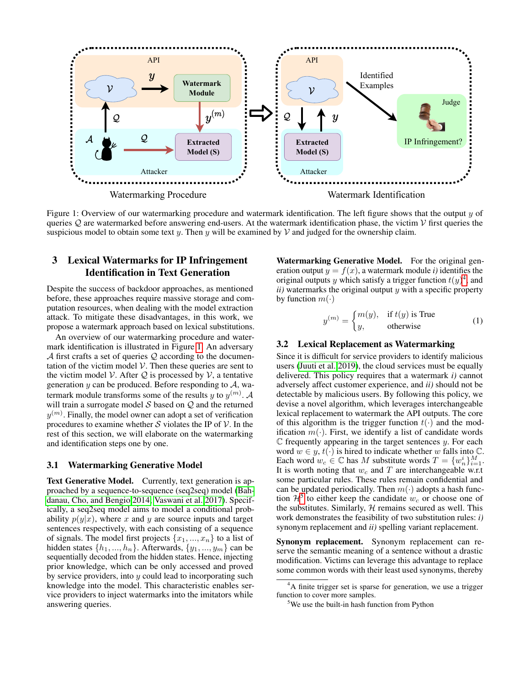<span id="page-2-0"></span>

Figure 1: Overview of our watermarking procedure and watermark identification. The left figure shows that the output  $y$  of queries  $Q$  are watermarked before answering end-users. At the watermark identification phase, the victim  $V$  first queries the suspicious model to obtain some text y. Then y will be examined by  $V$  and judged for the ownership claim.

## 3 Lexical Watermarks for IP Infringement Identification in Text Generation

Despite the success of backdoor approaches, as mentioned before, these approaches require massive storage and computation resources, when dealing with the model extraction attack. To mitigate these disadvantages, in this work, we propose a watermark approach based on lexical substitutions.

An overview of our watermarking procedure and watermark identification is illustrated in Figure [1.](#page-2-0) An adversary  $\mathcal A$  first crafts a set of queries  $\mathcal Q$  according to the documentation of the victim model  $V$ . Then these queries are sent to the victim model V. After  $Q$  is processed by V, a tentative generation  $y$  can be produced. Before responding to  $A$ , watermark module transforms some of the results  $y$  to  $y^{(m)}$ . A will train a surrogate model  $S$  based on  $Q$  and the returned  $y^{(m)}$ . Finally, the model owner can adopt a set of verification procedures to examine whether S violates the IP of  $\mathcal V$ . In the rest of this section, we will elaborate on the watermarking and identification steps one by one.

## 3.1 Watermarking Generative Model

Text Generative Model. Currently, text generation is approached by a sequence-to-sequence (seq2seq) model [\(Bah](#page-7-13)[danau, Cho, and Bengio 2014;](#page-7-13) [Vaswani et al. 2017\)](#page-8-10). Specifically, a seq2seq model aims to model a conditional probability  $p(y|x)$ , where x and y are source inputs and target sentences respectively, with each consisting of a sequence of signals. The model first projects  $\{x_1, ..., x_n\}$  to a list of hidden states  $\{h_1, ..., h_n\}$ . Afterwards,  $\{y_1, ..., y_m\}$  can be sequentially decoded from the hidden states. Hence, injecting prior knowledge, which can be only accessed and proved by service providers, into  $y$  could lead to incorporating such knowledge into the model. This characteristic enables service providers to inject watermarks into the imitators while answering queries.

Watermarking Generative Model. For the original generation output  $y = f(x)$ , a watermark module *i*) identifies the original outputs y which satisfy a trigger function  $t(y)^4$  $t(y)^4$ , and *ii)* watermarks the original output y with a specific property by function  $m(\cdot)$ 

$$
y^{(m)} = \begin{cases} m(y), & \text{if } t(y) \text{ is True} \\ y, & \text{otherwise} \end{cases}
$$
 (1)

### 3.2 Lexical Replacement as Watermarking

Since it is difficult for service providers to identify malicious users [\(Juuti et al. 2019\)](#page-7-4), the cloud services must be equally delivered. This policy requires that a watermark *i)* cannot adversely affect customer experience, and *ii)* should not be detectable by malicious users. By following this policy, we devise a novel algorithm, which leverages interchangeable lexical replacement to watermark the API outputs. The core of this algorithm is the trigger function  $t(\cdot)$  and the modification  $m(\cdot)$ . First, we identify a list of candidate words  $C$  frequently appearing in the target sentences  $y$ . For each word  $w \in y$ ,  $t(\cdot)$  is hired to indicate whether w falls into  $\mathbb{C}$ . Each word  $w_c \in \mathbb{C}$  has M substitute words  $T = \{w_n^i\}_{i=1}^M$ . It is worth noting that  $w_c$  and T are interchangeable w.r.t some particular rules. These rules remain confidential and can be updated periodically. Then  $m(\cdot)$  adopts a hash function  $\mathcal{H}^5$  $\mathcal{H}^5$  to either keep the candidate  $w_c$  or choose one of the substitutes. Similarly,  $H$  remains secured as well. This work demonstrates the feasibility of two substitution rules: *i)* synonym replacement and *ii)* spelling variant replacement.

Synonym replacement. Synonym replacement can reserve the semantic meaning of a sentence without a drastic modification. Victims can leverage this advantage to replace some common words with their least used synonyms, thereby

<span id="page-2-1"></span><sup>&</sup>lt;sup>4</sup>A finite trigger set is sparse for generation, we use a trigger function to cover more samples.

<span id="page-2-2"></span><sup>&</sup>lt;sup>5</sup>We use the built-in hash function from Python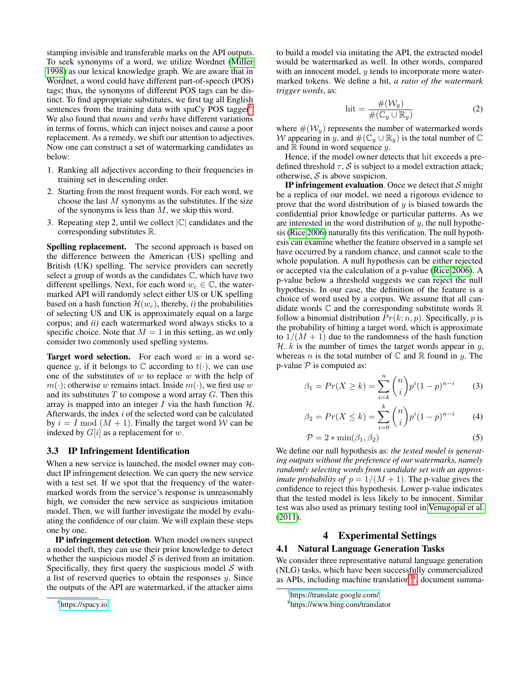stamping invisible and transferable marks on the API outputs. To seek synonyms of a word, we utilize Wordnet [\(Miller](#page-8-16) [1998\)](#page-8-16) as our lexical knowledge graph. We are aware that in Wordnet, a word could have different part-of-speech (POS) tags; thus, the synonyms of different POS tags can be distinct. To find appropriate substitutes, we first tag all English sentences from the training data with spaCy POS tagger<sup>[6](#page-3-1)</sup>. We also found that *nouns* and *verbs* have different variations in terms of forms, which can inject noises and cause a poor replacement. As a remedy, we shift our attention to adjectives. Now one can construct a set of watermarking candidates as below:

- 1. Ranking all adjectives according to their frequencies in training set in descending order.
- 2. Starting from the most frequent words. For each word, we choose the last  $M$  synonyms as the substitutes. If the size of the synonyms is less than  $M$ , we skip this word.
- 3. Repeating step 2, until we collect  $|\mathbb{C}|$  candidates and the corresponding substitutes R.

Spelling replacement. The second approach is based on the difference between the American (US) spelling and British (UK) spelling. The service providers can secretly select a group of words as the candidates C, which have two different spellings. Next, for each word  $w_c \in \mathbb{C}$ , the watermarked API will randomly select either US or UK spelling based on a hash function  $\mathcal{H}(w_c)$ , thereby, *i*) the probabilities of selecting US and UK is approximately equal on a large corpus; and *ii)* each watermarked word always sticks to a specific choice. Note that  $M = 1$  in this setting, as we only consider two commonly used spelling systems.

**Target word selection.** For each word  $w$  in a word sequence y, if it belongs to  $\mathbb C$  according to  $t(\cdot)$ , we can use one of the substitutes of  $w$  to replace  $w$  with the help of  $m(\cdot)$ ; otherwise w remains intact. Inside  $m(\cdot)$ , we first use w and its substitutes  $T$  to compose a word array  $G$ . Then this array is mapped into an integer I via the hash function  $H$ . Afterwards, the index  $i$  of the selected word can be calculated by  $i = I \mod (M + 1)$ . Finally the target word W can be indexed by  $G[i]$  as a replacement for w.

## 3.3 IP Infringement Identification

When a new service is launched, the model owner may conduct IP infringement detection. We can query the new service with a test set. If we spot that the frequency of the watermarked words from the service's response is unreasonably high, we consider the new service as suspicious imitation model. Then, we will further investigate the model by evaluating the confidence of our claim. We will explain these steps one by one.

IP infringement detection. When model owners suspect a model theft, they can use their prior knowledge to detect whether the suspicious model  $S$  is derived from an imitation. Specifically, they first query the suspicious model  $S$  with a list of reserved queries to obtain the responses  $y$ . Since the outputs of the API are watermarked, if the attacker aims

to build a model via imitating the API, the extracted model would be watermarked as well. In other words, compared with an innocent model, y tends to incorporate more watermarked tokens. We define a hit, *a ratio of the watermark trigger words*, as:

$$
hit = \frac{\#(\mathcal{W}_y)}{\#(\mathbb{C}_y \cup \mathbb{R}_y)}
$$
 (2)

where  $\#(\mathcal{W}_y)$  represents the number of watermarked words W appearing in y, and  $\#(\mathbb{C}_y \cup \mathbb{R}_y)$  is the total number of  $\mathbb C$ and  $\mathbb R$  found in word sequence y.

Hence, if the model owner detects that hit exceeds a predefined threshold  $\tau$ , S is subject to a model extraction attack; otherwise,  $S$  is above suspicion.

**IP infringement evaluation.** Once we detect that  $S$  might be a replica of our model, we need a rigorous evidence to prove that the word distribution of  $y$  is biased towards the confidential prior knowledge or particular patterns. As we are interested in the word distribution of  $y$ , the null hypothesis [\(Rice 2006\)](#page-8-17) naturally fits this verification. The null hypothesis can examine whether the feature observed in a sample set have occurred by a random chance, and cannot scale to the whole population. A null hypothesis can be either rejected or accepted via the calculation of a p-value [\(Rice 2006\)](#page-8-17). A p-value below a threshold suggests we can reject the null hypothesis. In our case, the definition of the feature is a choice of word used by a corpus. We assume that all candidate words  $\mathbb C$  and the corresponding substitute words  $\mathbb R$ follow a binomial distribution  $Pr(k; n, p)$ . Specifically, p is the probability of hitting a target word, which is approximate to  $1/(M + 1)$  due to the randomness of the hash function  $H$ . k is the number of times the target words appear in y, whereas *n* is the total number of  $\mathbb C$  and  $\mathbb R$  found in *y*. The p-value  $P$  is computed as:

<span id="page-3-4"></span>
$$
\beta_1 = Pr(X \ge k) = \sum_{i=k}^{n} {n \choose i} p^i (1-p)^{n-i} \qquad (3)
$$

<span id="page-3-5"></span>
$$
\beta_2 = Pr(X \le k) = \sum_{i=0}^{k} {n \choose i} p^i (1-p)^{n-i} \tag{4}
$$

<span id="page-3-6"></span>
$$
\mathcal{P} = 2 * \min(\beta_1, \beta_2) \tag{5}
$$

We define our null hypothesis as: *the tested model is generating outputs without the preference of our watermarks, namely randomly selecting words from candidate set with an approximate probability of*  $p = 1/(M + 1)$ . The p-value gives the confidence to reject this hypothesis. Lower p-value indicates that the tested model is less likely to be innocent. Similar test was also used as primary testing tool in [Venugopal et al.](#page-8-15) [\(2011\)](#page-8-15).

## 4 Experimental Settings

### <span id="page-3-0"></span>4.1 Natural Language Generation Tasks

We consider three representative natural language generation (NLG) tasks, which have been successfully commercialized as APIs, including machine translation<sup>[7](#page-3-2)[8](#page-3-3)</sup>, document summa-

<span id="page-3-1"></span><sup>6</sup> <https://spacy.io>

<span id="page-3-2"></span><sup>7</sup> <https://translate.google.com/>

<span id="page-3-3"></span><sup>8</sup> https://www.bing.com/translator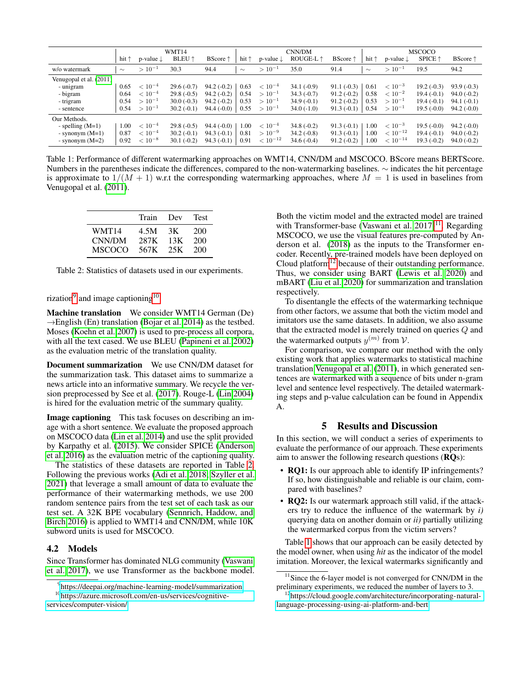<span id="page-4-5"></span>

|                         | WMT14          |                         |                        | CNN/DM                   |                |                         | <b>MSCOCO</b>      |                 |                |                         |                    |                          |
|-------------------------|----------------|-------------------------|------------------------|--------------------------|----------------|-------------------------|--------------------|-----------------|----------------|-------------------------|--------------------|--------------------------|
|                         | hit $\uparrow$ | $p$ -value $\downarrow$ | <b>BLEU</b> $\uparrow$ | <b>BScore</b> $\uparrow$ | hit $\uparrow$ | $p$ -value $\downarrow$ | ROUGE-L $\uparrow$ | <b>BScore</b> ↑ | hit $\uparrow$ | $p$ -value $\downarrow$ | $SPICE$ $\uparrow$ | <b>BScore</b> $\uparrow$ |
| w/o watermark           | $\sim$         | $>10^{-1}$              | 30.3                   | 94.4                     | $\sim$         | $>10^{-1}$              | 35.0               | 91.4            | $\sim$         | $>10^{-1}$              | 19.5               | 94.2                     |
| Venugopal et al. (2011) |                |                         |                        |                          |                |                         |                    |                 |                |                         |                    |                          |
| - unigram               | 0.65           | $< 10^{-4}$             | $29.6(-0.7)$           | $94.2(-0.2)$             | 0.63           | $< 10^{-4}$             | $34.1(-0.9)$       | $91.1(-0.3)$    | 0.61           | $< 10^{-3}$             | $19.2(-0.3)$       | $93.9(-0.3)$             |
| - bigram                | 0.64           | $< 10^{-4}$             | $29.8(-0.5)$           | $94.2(-0.2)$             | 0.54           | $>10^{-1}$              | $34.3(-0.7)$       | $91.2(-0.2)$    | 0.58           | $< 10^{-2}$             | $19.4(-0.1)$       | $94.0(-0.2)$             |
| - trigram               | 0.54           | $>10^{-1}$              | $30.0(-0.3)$           | $94.2(-0.2)$             | 0.53           | $>10^{-1}$              | $34.9(-0.1)$       | $91.2(-0.2)$    | 0.53           | $>10^{-1}$              | $19.4(-0.1)$       | $94.1(-0.1)$             |
| - sentence              | 0.54           | $>10^{-1}$              | $30.2(-0.1)$           | $94.4(-0.0)$             | 0.55           | $>10^{-1}$              | $34.0(-1.0)$       | $91.3(-0.1)$    | 0.54           | $>10^{-1}$              | $19.5(-0.0)$       | $94.2(-0.0)$             |
| Our Methods.            |                |                         |                        |                          |                |                         |                    |                 |                |                         |                    |                          |
| - spelling $(M=1)$      | 1.00           | $< 10^{-4}$             | $29.8(-0.5)$           | $94.4(-0.0)$             | 1.00           | $< 10^{-4}$             | $34.8(-0.2)$       | $91.3(-0.1)$    | 1.00           | $< 10^{-3}$             | $19.5(-0.0)$       | $94.2(-0.0)$             |
| - synonym $(M=1)$       | 0.87           | $< 10^{-4}$             | $30.2(-0.1)$           | $94.3(-0.1)$             | 0.81           | $>10^{-9}$              | $34.2(-0.8)$       | $91.3(-0.1)$    | 1.00           | $< 10^{-12}$            | $19.4(-0.1)$       | $94.0(-0.2)$             |
| - synonym $(M=2)$       | 0.92           | $< 10^{-8}$             | $30.1(-0.2)$           | $94.3(-0.1)$             | 0.91           | $< 10^{-12}$            | $34.6(-0.4)$       | $91.2(-0.2)$    | 1.00           | $< 10^{-14}$            | $19.3(-0.2)$       | $94.0(-0.2)$             |

Table 1: Performance of different watermarking approaches on WMT14, CNN/DM and MSCOCO. BScore means BERTScore. Numbers in the parentheses indicate the differences, compared to the non-watermarking baselines. ∼ indicates the hit percentage is approximate to  $1/(M + 1)$  w.r.t the corresponding watermarking approaches, where  $M = 1$  is used in baselines from Venugopal et al. [\(2011\)](#page-8-15).

<span id="page-4-2"></span>

|        | Train | Dev | <b>Test</b> |
|--------|-------|-----|-------------|
| WMT14  | 4.5M  | 3K  | 200         |
| CNN/DM | 287K  | 13K | 200         |
| MSCOCO | 567K  | 25K | 200         |

Table 2: Statistics of datasets used in our experiments.

rization<sup>[9](#page-4-0)</sup> and image captioning<sup>[10](#page-4-1)</sup>.

Machine translation We consider WMT14 German (De)  $\rightarrow$ English (En) translation [\(Bojar et al. 2014\)](#page-7-17) as the testbed. Moses [\(Koehn et al. 2007\)](#page-7-18) is used to pre-process all corpora, with all the text cased. We use BLEU [\(Papineni et al. 2002\)](#page-8-18) as the evaluation metric of the translation quality.

Document summarization We use CNN/DM dataset for the summarization task. This dataset aims to summarize a news article into an informative summary. We recycle the version preprocessed by See et al. [\(2017\)](#page-8-12). Rouge-L [\(Lin 2004\)](#page-8-19) is hired for the evaluation metric of the summary quality.

Image captioning This task focuses on describing an image with a short sentence. We evaluate the proposed approach on MSCOCO data [\(Lin et al. 2014\)](#page-8-20) and use the split provided by Karpathy et al. [\(2015\)](#page-7-19). We consider SPICE [\(Anderson](#page-7-20) [et al. 2016\)](#page-7-20) as the evaluation metric of the captioning quality.

The statistics of these datasets are reported in Table [2.](#page-4-2) Following the previous works [\(Adi et al. 2018;](#page-7-6) [Szyller et al.](#page-8-6) [2021\)](#page-8-6) that leverage a small amount of data to evaluate the performance of their watermarking methods, we use 200 random sentence pairs from the test set of each task as our test set. A 32K BPE vocabulary [\(Sennrich, Haddow, and](#page-8-21) [Birch 2016\)](#page-8-21) is applied to WMT14 and CNN/DM, while 10K subword units is used for MSCOCO.

### 4.2 Models

Since Transformer has dominated NLG community [\(Vaswani](#page-8-10) [et al. 2017\)](#page-8-10), we use Transformer as the backbone model. Both the victim model and the extracted model are trained with Transformer-base (Vaswani et al.  $2017$ )<sup>[11](#page-4-3)</sup>. Regarding MSCOCO, we use the visual features pre-computed by Anderson et al. [\(2018\)](#page-7-16) as the inputs to the Transformer encoder. Recently, pre-trained models have been deployed on Cloud platform $12$  because of their outstanding performance. Thus, we consider using BART [\(Lewis et al. 2020\)](#page-8-22) and mBART [\(Liu et al. 2020\)](#page-8-23) for summarization and translation respectively.

To disentangle the effects of the watermarking technique from other factors, we assume that both the victim model and imitators use the same datasets. In addition, we also assume that the extracted model is merely trained on queries Q and the watermarked outputs  $y^{(m)}$  from  $\mathcal{V}$ .

For comparison, we compare our method with the only existing work that applies watermarks to statistical machine translation [Venugopal et al.](#page-8-15) [\(2011\)](#page-8-15), in which generated sentences are watermarked with a sequence of bits under n-gram level and sentence level respectively. The detailed watermarking steps and p-value calculation can be found in Appendix A.

### 5 Results and Discussion

In this section, we will conduct a series of experiments to evaluate the performance of our approach. These experiments aim to answer the following research questions (RQs):

- RQ1: Is our approach able to identify IP infringements? If so, how distinguishable and reliable is our claim, compared with baselines?
- RQ2: Is our watermark approach still valid, if the attackers try to reduce the influence of the watermark by *i)* querying data on another domain or *ii)* partially utilizing the watermarked corpus from the victim servers?

Table [1](#page-4-5) shows that our approach can be easily detected by the model owner, when using *hit* as the indicator of the model imitation. Moreover, the lexical watermarks significantly and

<span id="page-4-1"></span><span id="page-4-0"></span><sup>9</sup> <https://deepai.org/machine-learning-model/summarization>

<sup>10</sup>[https://azure.microsoft.com/en-us/services/cognitive](https://azure.microsoft.com/en-us/services/cognitive-services/computer-vision/)[services/computer-vision/](https://azure.microsoft.com/en-us/services/cognitive-services/computer-vision/)

<span id="page-4-3"></span> $11$ Since the 6-layer model is not converged for CNN/DM in the preliminary experiments, we reduced the number of layers to 3.

<span id="page-4-4"></span><sup>&</sup>lt;sup>12</sup>[https://cloud.google.com/architecture/incorporating-natural](https://cloud.google.com/architecture/incorporating-natural-language-processing-using-ai-platform-and-bert)[language-processing-using-ai-platform-and-bert](https://cloud.google.com/architecture/incorporating-natural-language-processing-using-ai-platform-and-bert)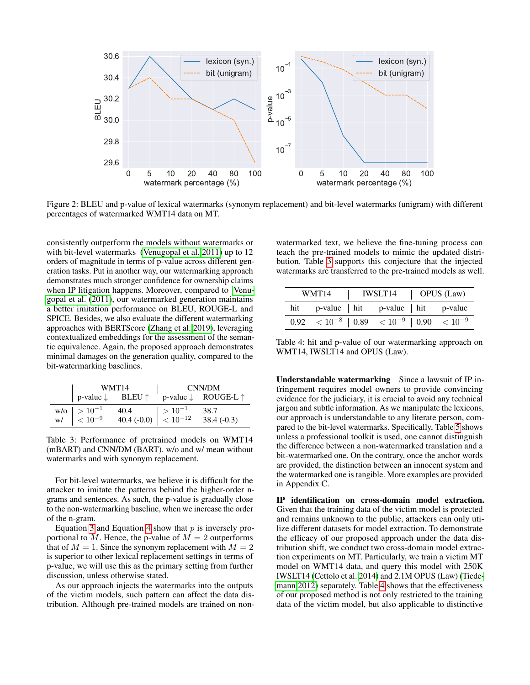<span id="page-5-2"></span>

Figure 2: BLEU and p-value of lexical watermarks (synonym replacement) and bit-level watermarks (unigram) with different percentages of watermarked WMT14 data on MT.

consistently outperform the models without watermarks or with bit-level watermarks [\(Venugopal et al. 2011\)](#page-8-15) up to 12 orders of magnitude in terms of p-value across different generation tasks. Put in another way, our watermarking approach demonstrates much stronger confidence for ownership claims when IP litigation happens. Moreover, compared to [Venu](#page-8-15)[gopal et al.](#page-8-15) [\(2011\)](#page-8-15), our watermarked generation maintains a better imitation performance on BLEU, ROUGE-L and SPICE. Besides, we also evaluate the different watermarking approaches with BERTScore [\(Zhang et al. 2019\)](#page-8-24), leveraging contextualized embeddings for the assessment of the semantic equivalence. Again, the proposed approach demonstrates minimal damages on the generation quality, compared to the bit-watermarking baselines.

<span id="page-5-0"></span>

|                                                                                    | WMT14                          | CNN/DM        |                                         |  |
|------------------------------------------------------------------------------------|--------------------------------|---------------|-----------------------------------------|--|
| p-value $\downarrow$ BLEU $\uparrow$                                               |                                |               | p-value $\downarrow$ ROUGE-L $\uparrow$ |  |
| $\begin{array}{c c}\n\text{w/o} & > 10^{-1} \\ \text{w/} & < 10^{-9}\n\end{array}$ | 40.4                           | $  > 10^{-1}$ | 38.7                                    |  |
|                                                                                    | 40.4 (-0.0) $\Big  5.10^{-12}$ |               | $38.4(-0.3)$                            |  |

Table 3: Performance of pretrained models on WMT14 (mBART) and CNN/DM (BART). w/o and w/ mean without watermarks and with synonym replacement.

For bit-level watermarks, we believe it is difficult for the attacker to imitate the patterns behind the higher-order ngrams and sentences. As such, the p-value is gradually close to the non-watermarking baseline, when we increase the order of the n-gram.

Equation [3](#page-3-4) and Equation [4](#page-3-5) show that  $p$  is inversely proportional to M. Hence, the p-value of  $M = 2$  outperforms that of  $M = 1$ . Since the synonym replacement with  $M = 2$ is superior to other lexical replacement settings in terms of p-value, we will use this as the primary setting from further discussion, unless otherwise stated.

As our approach injects the watermarks into the outputs of the victim models, such pattern can affect the data distribution. Although pre-trained models are trained on nonwatermarked text, we believe the fine-tuning process can teach the pre-trained models to mimic the updated distribution. Table [3](#page-5-0) supports this conjecture that the injected watermarks are transferred to the pre-trained models as well.

<span id="page-5-1"></span>

| WMT14 | IWSLT14                                                         | $\vert$ OPUS (Law) |  |  |
|-------|-----------------------------------------------------------------|--------------------|--|--|
|       | hit p-value hit p-value hit p-value                             |                    |  |  |
|       | $0.92 \, < 10^{-8}$   $0.89 \, < 10^{-9}$   $0.90 \, < 10^{-9}$ |                    |  |  |

Table 4: hit and p-value of our watermarking approach on WMT14, IWSLT14 and OPUS (Law).

Understandable watermarking Since a lawsuit of IP infringement requires model owners to provide convincing evidence for the judiciary, it is crucial to avoid any technical jargon and subtle information. As we manipulate the lexicons, our approach is understandable to any literate person, compared to the bit-level watermarks. Specifically, Table [5](#page-6-0) shows unless a professional toolkit is used, one cannot distinguish the difference between a non-watermarked translation and a bit-watermarked one. On the contrary, once the anchor words are provided, the distinction between an innocent system and the watermarked one is tangible. More examples are provided in Appendix C.

IP identification on cross-domain model extraction. Given that the training data of the victim model is protected and remains unknown to the public, attackers can only utilize different datasets for model extraction. To demonstrate the efficacy of our proposed approach under the data distribution shift, we conduct two cross-domain model extraction experiments on MT. Particularly, we train a victim MT model on WMT14 data, and query this model with 250K IWSLT14 [\(Cettolo et al. 2014\)](#page-7-21) and 2.1M OPUS (Law) [\(Tiede](#page-8-25)[mann 2012\)](#page-8-25) separately. Table [4](#page-5-1) shows that the effectiveness of our proposed method is not only restricted to the training data of the victim model, but also applicable to distinctive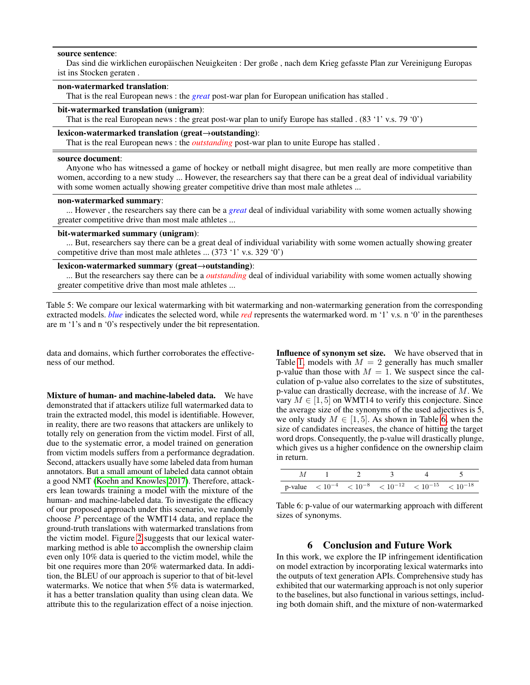#### <span id="page-6-0"></span>source sentence:

Das sind die wirklichen europäischen Neuigkeiten : Der große, nach dem Krieg gefasste Plan zur Vereinigung Europas ist ins Stocken geraten .

### non-watermarked translation:

That is the real European news : the *great* post-war plan for European unification has stalled .

## bit-watermarked translation (unigram):

That is the real European news : the great post-war plan to unify Europe has stalled . (83 '1' v.s. 79 '0')

## lexicon-watermarked translation (great→outstanding):

That is the real European news : the *outstanding* post-war plan to unite Europe has stalled .

#### source document:

Anyone who has witnessed a game of hockey or netball might disagree, but men really are more competitive than women, according to a new study ... However, the researchers say that there can be a great deal of individual variability with some women actually showing greater competitive drive than most male athletes ...

#### non-watermarked summary:

... However , the researchers say there can be a *great* deal of individual variability with some women actually showing greater competitive drive than most male athletes ...

#### bit-watermarked summary (unigram):

... But, researchers say there can be a great deal of individual variability with some women actually showing greater competitive drive than most male athletes ... (373 '1' v.s. 329 '0')

### lexicon-watermarked summary (great→outstanding):

... But the researchers say there can be a *outstanding* deal of individual variability with some women actually showing greater competitive drive than most male athletes ...

Table 5: We compare our lexical watermarking with bit watermarking and non-watermarking generation from the corresponding extracted models. *blue* indicates the selected word, while *red* represents the watermarked word. m '1' v.s. n '0' in the parentheses are m '1's and n '0's respectively under the bit representation.

data and domains, which further corroborates the effectiveness of our method.

Mixture of human- and machine-labeled data. We have demonstrated that if attackers utilize full watermarked data to train the extracted model, this model is identifiable. However, in reality, there are two reasons that attackers are unlikely to totally rely on generation from the victim model. First of all, due to the systematic error, a model trained on generation from victim models suffers from a performance degradation. Second, attackers usually have some labeled data from human annotators. But a small amount of labeled data cannot obtain a good NMT [\(Koehn and Knowles 2017\)](#page-7-22). Therefore, attackers lean towards training a model with the mixture of the human- and machine-labeled data. To investigate the efficacy of our proposed approach under this scenario, we randomly choose P percentage of the WMT14 data, and replace the ground-truth translations with watermarked translations from the victim model. Figure [2](#page-5-2) suggests that our lexical watermarking method is able to accomplish the ownership claim even only 10% data is queried to the victim model, while the bit one requires more than 20% watermarked data. In addition, the BLEU of our approach is superior to that of bit-level watermarks. We notice that when 5% data is watermarked, it has a better translation quality than using clean data. We attribute this to the regularization effect of a noise injection.

Influence of synonym set size. We have observed that in Table [1,](#page-4-5) models with  $M = 2$  generally has much smaller p-value than those with  $M = 1$ . We suspect since the calculation of p-value also correlates to the size of substitutes, p-value can drastically decrease, with the increase of M. We vary  $M \in [1, 5]$  on WMT14 to verify this conjecture. Since the average size of the synonyms of the used adjectives is 5, we only study  $M \in [1, 5]$ . As shown in Table [6,](#page-6-1) when the size of candidates increases, the chance of hitting the target word drops. Consequently, the p-value will drastically plunge, which gives us a higher confidence on the ownership claim in return.

<span id="page-6-1"></span>

|  |  | p-value $\langle 10^{-4} \rangle \langle 10^{-8} \rangle \langle 10^{-12} \rangle \langle 10^{-15} \rangle \langle 10^{-18} \rangle$ |  |
|--|--|--------------------------------------------------------------------------------------------------------------------------------------|--|

Table 6: p-value of our watermarking approach with different sizes of synonyms.

### 6 Conclusion and Future Work

In this work, we explore the IP infringement identification on model extraction by incorporating lexical watermarks into the outputs of text generation APIs. Comprehensive study has exhibited that our watermarking approach is not only superior to the baselines, but also functional in various settings, including both domain shift, and the mixture of non-watermarked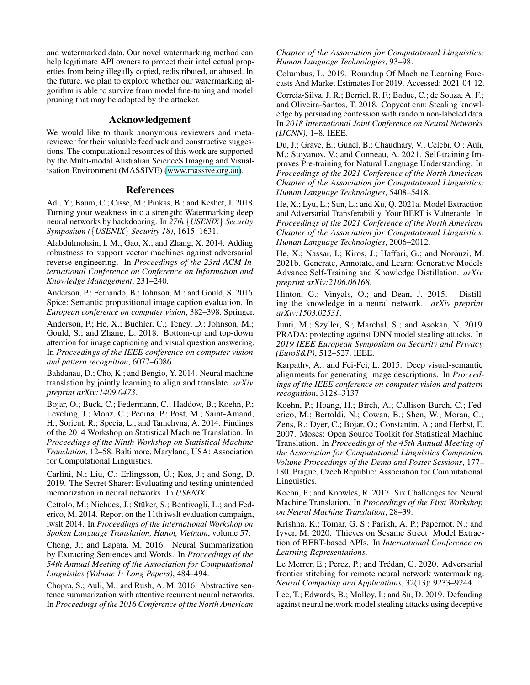and watermarked data. Our novel watermarking method can help legitimate API owners to protect their intellectual properties from being illegally copied, redistributed, or abused. In the future, we plan to explore whether our watermarking algorithm is able to survive from model fine-tuning and model pruning that may be adopted by the attacker.

## Acknowledgement

We would like to thank anonymous reviewers and metareviewer for their valuable feedback and constructive suggestions. The computational resources of this work are supported by the Multi-modal Australian ScienceS Imaging and Visualisation Environment (MASSIVE) [\(www.massive.org.au\)](www.massive.org.au).

## References

<span id="page-7-6"></span>Adi, Y.; Baum, C.; Cisse, M.; Pinkas, B.; and Keshet, J. 2018. Turning your weakness into a strength: Watermarking deep neural networks by backdooring. In *27th* {*USENIX*} *Security Symposium (*{*USENIX*} *Security 18)*, 1615–1631.

<span id="page-7-3"></span>Alabdulmohsin, I. M.; Gao, X.; and Zhang, X. 2014. Adding robustness to support vector machines against adversarial reverse engineering. In *Proceedings of the 23rd ACM International Conference on Conference on Information and Knowledge Management*, 231–240.

<span id="page-7-20"></span>Anderson, P.; Fernando, B.; Johnson, M.; and Gould, S. 2016. Spice: Semantic propositional image caption evaluation. In *European conference on computer vision*, 382–398. Springer.

<span id="page-7-16"></span>Anderson, P.; He, X.; Buehler, C.; Teney, D.; Johnson, M.; Gould, S.; and Zhang, L. 2018. Bottom-up and top-down attention for image captioning and visual question answering. In *Proceedings of the IEEE conference on computer vision and pattern recognition*, 6077–6086.

<span id="page-7-13"></span>Bahdanau, D.; Cho, K.; and Bengio, Y. 2014. Neural machine translation by jointly learning to align and translate. *arXiv preprint arXiv:1409.0473*.

<span id="page-7-17"></span>Bojar, O.; Buck, C.; Federmann, C.; Haddow, B.; Koehn, P.; Leveling, J.; Monz, C.; Pecina, P.; Post, M.; Saint-Amand, H.; Soricut, R.; Specia, L.; and Tamchyna, A. 2014. Findings of the 2014 Workshop on Statistical Machine Translation. In *Proceedings of the Ninth Workshop on Statistical Machine Translation*, 12–58. Baltimore, Maryland, USA: Association for Computational Linguistics.

<span id="page-7-12"></span>Carlini, N.; Liu, C.; Erlingsson, U.; Kos, J.; and Song, D. 2019. The Secret Sharer: Evaluating and testing unintended memorization in neural networks. In *USENIX*.

<span id="page-7-21"></span>Cettolo, M.; Niehues, J.; Stüker, S.; Bentivogli, L.; and Federico, M. 2014. Report on the 11th iwslt evaluation campaign, iwslt 2014. In *Proceedings of the International Workshop on Spoken Language Translation, Hanoi, Vietnam*, volume 57.

<span id="page-7-14"></span>Cheng, J.; and Lapata, M. 2016. Neural Summarization by Extracting Sentences and Words. In *Proceedings of the 54th Annual Meeting of the Association for Computational Linguistics (Volume 1: Long Papers)*, 484–494.

<span id="page-7-15"></span>Chopra, S.; Auli, M.; and Rush, A. M. 2016. Abstractive sentence summarization with attentive recurrent neural networks. In *Proceedings of the 2016 Conference of the North American*

*Chapter of the Association for Computational Linguistics: Human Language Technologies*, 93–98.

<span id="page-7-0"></span>Columbus, L. 2019. Roundup Of Machine Learning Forecasts And Market Estimates For 2019. Accessed: 2021-04-12.

<span id="page-7-8"></span>Correia-Silva, J. R.; Berriel, R. F.; Badue, C.; de Souza, A. F.; and Oliveira-Santos, T. 2018. Copycat cnn: Stealing knowledge by persuading confession with random non-labeled data. In *2018 International Joint Conference on Neural Networks (IJCNN)*, 1–8. IEEE.

<span id="page-7-10"></span>Du, J.; Grave, É.; Gunel, B.; Chaudhary, V.; Celebi, O.; Auli, M.; Stoyanov, V.; and Conneau, A. 2021. Self-training Improves Pre-training for Natural Language Understanding. In *Proceedings of the 2021 Conference of the North American Chapter of the Association for Computational Linguistics: Human Language Technologies*, 5408–5418.

<span id="page-7-2"></span>He, X.; Lyu, L.; Sun, L.; and Xu, Q. 2021a. Model Extraction and Adversarial Transferability, Your BERT is Vulnerable! In *Proceedings of the 2021 Conference of the North American Chapter of the Association for Computational Linguistics: Human Language Technologies*, 2006–2012.

<span id="page-7-9"></span>He, X.; Nassar, I.; Kiros, J.; Haffari, G.; and Norouzi, M. 2021b. Generate, Annotate, and Learn: Generative Models Advance Self-Training and Knowledge Distillation. *arXiv preprint arXiv:2106.06168*.

<span id="page-7-11"></span>Hinton, G.; Vinyals, O.; and Dean, J. 2015. Distilling the knowledge in a neural network. *arXiv preprint arXiv:1503.02531*.

<span id="page-7-4"></span>Juuti, M.; Szyller, S.; Marchal, S.; and Asokan, N. 2019. PRADA: protecting against DNN model stealing attacks. In *2019 IEEE European Symposium on Security and Privacy (EuroS&P)*, 512–527. IEEE.

<span id="page-7-19"></span>Karpathy, A.; and Fei-Fei, L. 2015. Deep visual-semantic alignments for generating image descriptions. In *Proceedings of the IEEE conference on computer vision and pattern recognition*, 3128–3137.

<span id="page-7-18"></span>Koehn, P.; Hoang, H.; Birch, A.; Callison-Burch, C.; Federico, M.; Bertoldi, N.; Cowan, B.; Shen, W.; Moran, C.; Zens, R.; Dyer, C.; Bojar, O.; Constantin, A.; and Herbst, E. 2007. Moses: Open Source Toolkit for Statistical Machine Translation. In *Proceedings of the 45th Annual Meeting of the Association for Computational Linguistics Companion Volume Proceedings of the Demo and Poster Sessions*, 177– 180. Prague, Czech Republic: Association for Computational Linguistics.

<span id="page-7-22"></span>Koehn, P.; and Knowles, R. 2017. Six Challenges for Neural Machine Translation. In *Proceedings of the First Workshop on Neural Machine Translation*, 28–39.

<span id="page-7-1"></span>Krishna, K.; Tomar, G. S.; Parikh, A. P.; Papernot, N.; and Iyyer, M. 2020. Thieves on Sesame Street! Model Extraction of BERT-based APIs. In *International Conference on Learning Representations*.

<span id="page-7-7"></span>Le Merrer, E.; Perez, P.; and Trédan, G. 2020. Adversarial frontier stitching for remote neural network watermarking. *Neural Computing and Applications*, 32(13): 9233–9244.

<span id="page-7-5"></span>Lee, T.; Edwards, B.; Molloy, I.; and Su, D. 2019. Defending against neural network model stealing attacks using deceptive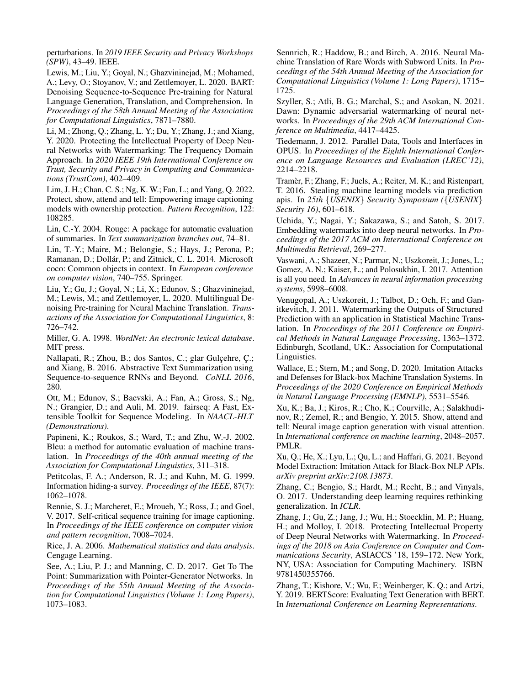perturbations. In *2019 IEEE Security and Privacy Workshops (SPW)*, 43–49. IEEE.

<span id="page-8-22"></span>Lewis, M.; Liu, Y.; Goyal, N.; Ghazvininejad, M.; Mohamed, A.; Levy, O.; Stoyanov, V.; and Zettlemoyer, L. 2020. BART: Denoising Sequence-to-Sequence Pre-training for Natural Language Generation, Translation, and Comprehension. In *Proceedings of the 58th Annual Meeting of the Association for Computational Linguistics*, 7871–7880.

<span id="page-8-8"></span>Li, M.; Zhong, Q.; Zhang, L. Y.; Du, Y.; Zhang, J.; and Xiang, Y. 2020. Protecting the Intellectual Property of Deep Neural Networks with Watermarking: The Frequency Domain Approach. In *2020 IEEE 19th International Conference on Trust, Security and Privacy in Computing and Communications (TrustCom)*, 402–409.

<span id="page-8-7"></span>Lim, J. H.; Chan, C. S.; Ng, K. W.; Fan, L.; and Yang, Q. 2022. Protect, show, attend and tell: Empowering image captioning models with ownership protection. *Pattern Recognition*, 122: 108285.

<span id="page-8-19"></span>Lin, C.-Y. 2004. Rouge: A package for automatic evaluation of summaries. In *Text summarization branches out*, 74–81.

<span id="page-8-20"></span>Lin, T.-Y.; Maire, M.; Belongie, S.; Hays, J.; Perona, P.; Ramanan, D.; Dollár, P.; and Zitnick, C. L. 2014. Microsoft coco: Common objects in context. In *European conference on computer vision*, 740–755. Springer.

<span id="page-8-23"></span>Liu, Y.; Gu, J.; Goyal, N.; Li, X.; Edunov, S.; Ghazvininejad, M.; Lewis, M.; and Zettlemoyer, L. 2020. Multilingual Denoising Pre-training for Neural Machine Translation. *Transactions of the Association for Computational Linguistics*, 8: 726–742.

<span id="page-8-16"></span>Miller, G. A. 1998. *WordNet: An electronic lexical database*. MIT press.

<span id="page-8-11"></span>Nallapati, R.; Zhou, B.; dos Santos, C.; glar Gulcehre, C.; and Xiang, B. 2016. Abstractive Text Summarization using Sequence-to-sequence RNNs and Beyond. *CoNLL 2016*, 280.

<span id="page-8-26"></span>Ott, M.; Edunov, S.; Baevski, A.; Fan, A.; Gross, S.; Ng, N.; Grangier, D.; and Auli, M. 2019. fairseq: A Fast, Extensible Toolkit for Sequence Modeling. In *NAACL-HLT (Demonstrations)*.

<span id="page-8-18"></span>Papineni, K.; Roukos, S.; Ward, T.; and Zhu, W.-J. 2002. Bleu: a method for automatic evaluation of machine translation. In *Proceedings of the 40th annual meeting of the Association for Computational Linguistics*, 311–318.

<span id="page-8-4"></span>Petitcolas, F. A.; Anderson, R. J.; and Kuhn, M. G. 1999. Information hiding-a survey. *Proceedings of the IEEE*, 87(7): 1062–1078.

<span id="page-8-14"></span>Rennie, S. J.; Marcheret, E.; Mroueh, Y.; Ross, J.; and Goel, V. 2017. Self-critical sequence training for image captioning. In *Proceedings of the IEEE conference on computer vision and pattern recognition*, 7008–7024.

<span id="page-8-17"></span>Rice, J. A. 2006. *Mathematical statistics and data analysis*. Cengage Learning.

<span id="page-8-12"></span>See, A.; Liu, P. J.; and Manning, C. D. 2017. Get To The Point: Summarization with Pointer-Generator Networks. In *Proceedings of the 55th Annual Meeting of the Association for Computational Linguistics (Volume 1: Long Papers)*, 1073–1083.

<span id="page-8-21"></span>Sennrich, R.; Haddow, B.; and Birch, A. 2016. Neural Machine Translation of Rare Words with Subword Units. In *Proceedings of the 54th Annual Meeting of the Association for Computational Linguistics (Volume 1: Long Papers)*, 1715– 1725.

<span id="page-8-6"></span>Szyller, S.; Atli, B. G.; Marchal, S.; and Asokan, N. 2021. Dawn: Dynamic adversarial watermarking of neural networks. In *Proceedings of the 29th ACM International Conference on Multimedia*, 4417–4425.

<span id="page-8-25"></span>Tiedemann, J. 2012. Parallel Data, Tools and Interfaces in OPUS. In *Proceedings of the Eighth International Conference on Language Resources and Evaluation (LREC'12)*, 2214–2218.

<span id="page-8-0"></span>Tramer, F.; Zhang, F.; Juels, A.; Reiter, M. K.; and Ristenpart, ` T. 2016. Stealing machine learning models via prediction apis. In *25th* {*USENIX*} *Security Symposium (*{*USENIX*} *Security 16)*, 601–618.

<span id="page-8-5"></span>Uchida, Y.; Nagai, Y.; Sakazawa, S.; and Satoh, S. 2017. Embedding watermarks into deep neural networks. In *Proceedings of the 2017 ACM on International Conference on Multimedia Retrieval*, 269–277.

<span id="page-8-10"></span>Vaswani, A.; Shazeer, N.; Parmar, N.; Uszkoreit, J.; Jones, L.; Gomez, A. N.; Kaiser, Ł.; and Polosukhin, I. 2017. Attention is all you need. In *Advances in neural information processing systems*, 5998–6008.

<span id="page-8-15"></span>Venugopal, A.; Uszkoreit, J.; Talbot, D.; Och, F.; and Ganitkevitch, J. 2011. Watermarking the Outputs of Structured Prediction with an application in Statistical Machine Translation. In *Proceedings of the 2011 Conference on Empirical Methods in Natural Language Processing*, 1363–1372. Edinburgh, Scotland, UK.: Association for Computational Linguistics.

<span id="page-8-1"></span>Wallace, E.; Stern, M.; and Song, D. 2020. Imitation Attacks and Defenses for Black-box Machine Translation Systems. In *Proceedings of the 2020 Conference on Empirical Methods in Natural Language Processing (EMNLP)*, 5531–5546.

<span id="page-8-13"></span>Xu, K.; Ba, J.; Kiros, R.; Cho, K.; Courville, A.; Salakhudinov, R.; Zemel, R.; and Bengio, Y. 2015. Show, attend and tell: Neural image caption generation with visual attention. In *International conference on machine learning*, 2048–2057. PMLR.

<span id="page-8-2"></span>Xu, Q.; He, X.; Lyu, L.; Qu, L.; and Haffari, G. 2021. Beyond Model Extraction: Imitation Attack for Black-Box NLP APIs. *arXiv preprint arXiv:2108.13873*.

<span id="page-8-9"></span>Zhang, C.; Bengio, S.; Hardt, M.; Recht, B.; and Vinyals, O. 2017. Understanding deep learning requires rethinking generalization. In *ICLR*.

<span id="page-8-3"></span>Zhang, J.; Gu, Z.; Jang, J.; Wu, H.; Stoecklin, M. P.; Huang, H.; and Molloy, I. 2018. Protecting Intellectual Property of Deep Neural Networks with Watermarking. In *Proceedings of the 2018 on Asia Conference on Computer and Communications Security*, ASIACCS '18, 159–172. New York, NY, USA: Association for Computing Machinery. ISBN 9781450355766.

<span id="page-8-24"></span>Zhang, T.; Kishore, V.; Wu, F.; Weinberger, K. Q.; and Artzi, Y. 2019. BERTScore: Evaluating Text Generation with BERT. In *International Conference on Learning Representations*.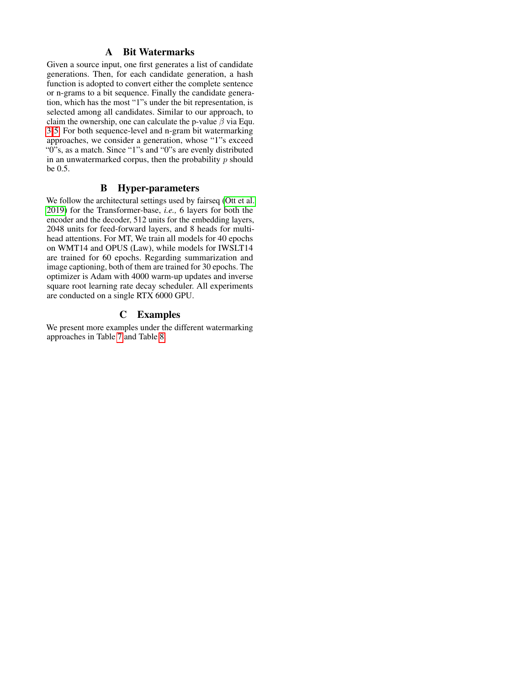## A Bit Watermarks

Given a source input, one first generates a list of candidate generations. Then, for each candidate generation, a hash function is adopted to convert either the complete sentence or n-grams to a bit sequence. Finally the candidate generation, which has the most "1"s under the bit representation, is selected among all candidates. Similar to our approach, to claim the ownership, one can calculate the p-value  $\beta$  via Equ. [3](#page-3-4)[-5.](#page-3-6) For both sequence-level and n-gram bit watermarking approaches, we consider a generation, whose "1"s exceed " $0$ "s, as a match. Since "1"s and "0"s are evenly distributed in an unwatermarked corpus, then the probability  $p$  should be 0.5.

## B Hyper-parameters

We follow the architectural settings used by fairseq [\(Ott et al.](#page-8-26) [2019\)](#page-8-26) for the Transformer-base, *i.e.,* 6 layers for both the encoder and the decoder, 512 units for the embedding layers, 2048 units for feed-forward layers, and 8 heads for multihead attentions. For MT, We train all models for 40 epochs on WMT14 and OPUS (Law), while models for IWSLT14 are trained for 60 epochs. Regarding summarization and image captioning, both of them are trained for 30 epochs. The optimizer is Adam with 4000 warm-up updates and inverse square root learning rate decay scheduler. All experiments are conducted on a single RTX 6000 GPU.

## C Examples

We present more examples under the different watermarking approaches in Table [7](#page-10-0) and Table [8.](#page-11-0)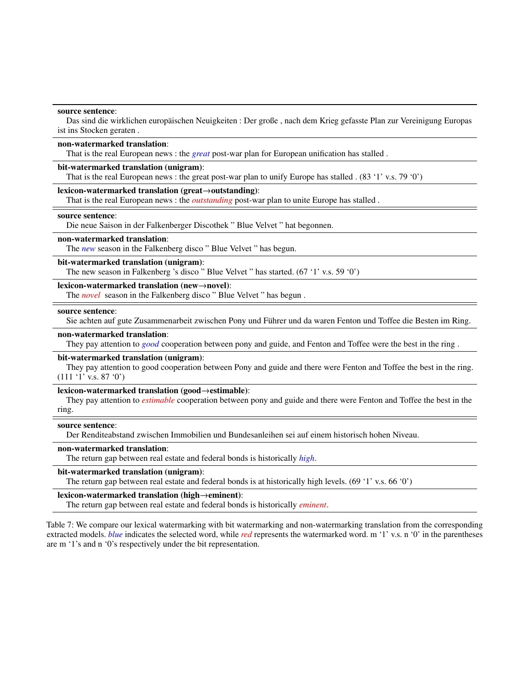#### <span id="page-10-0"></span>source sentence:

Das sind die wirklichen europäischen Neuigkeiten : Der große, nach dem Krieg gefasste Plan zur Vereinigung Europas ist ins Stocken geraten .

### non-watermarked translation:

That is the real European news : the *great* post-war plan for European unification has stalled .

### bit-watermarked translation (unigram):

That is the real European news : the great post-war plan to unify Europe has stalled . (83 '1' v.s. 79 '0')

#### lexicon-watermarked translation (great→outstanding):

That is the real European news : the *outstanding* post-war plan to unite Europe has stalled .

#### source sentence:

Die neue Saison in der Falkenberger Discothek " Blue Velvet " hat begonnen.

#### non-watermarked translation:

The *new* season in the Falkenberg disco " Blue Velvet " has begun.

#### bit-watermarked translation (unigram):

The new season in Falkenberg 's disco " Blue Velvet " has started. (67 '1' v.s. 59 '0')

## lexicon-watermarked translation (new→novel):

The *novel* season in the Falkenberg disco " Blue Velvet " has begun .

#### source sentence:

Sie achten auf gute Zusammenarbeit zwischen Pony und Fuhrer und da waren Fenton und Toffee die Besten im Ring. ¨

#### non-watermarked translation:

They pay attention to *good* cooperation between pony and guide, and Fenton and Toffee were the best in the ring .

#### bit-watermarked translation (unigram):

They pay attention to good cooperation between Pony and guide and there were Fenton and Toffee the best in the ring.  $(111 '1'$  v.s.  $87 '0')$ 

### lexicon-watermarked translation (good→estimable):

They pay attention to *estimable* cooperation between pony and guide and there were Fenton and Toffee the best in the ring.

#### source sentence:

Der Renditeabstand zwischen Immobilien und Bundesanleihen sei auf einem historisch hohen Niveau.

### non-watermarked translation:

The return gap between real estate and federal bonds is historically *high*.

#### bit-watermarked translation (unigram):

The return gap between real estate and federal bonds is at historically high levels. (69 '1' v.s. 66 '0')

#### lexicon-watermarked translation (high→eminent):

The return gap between real estate and federal bonds is historically *eminent*.

Table 7: We compare our lexical watermarking with bit watermarking and non-watermarking translation from the corresponding extracted models. *blue* indicates the selected word, while *red* represents the watermarked word. m '1' v.s. n '0' in the parentheses are m '1's and n '0's respectively under the bit representation.